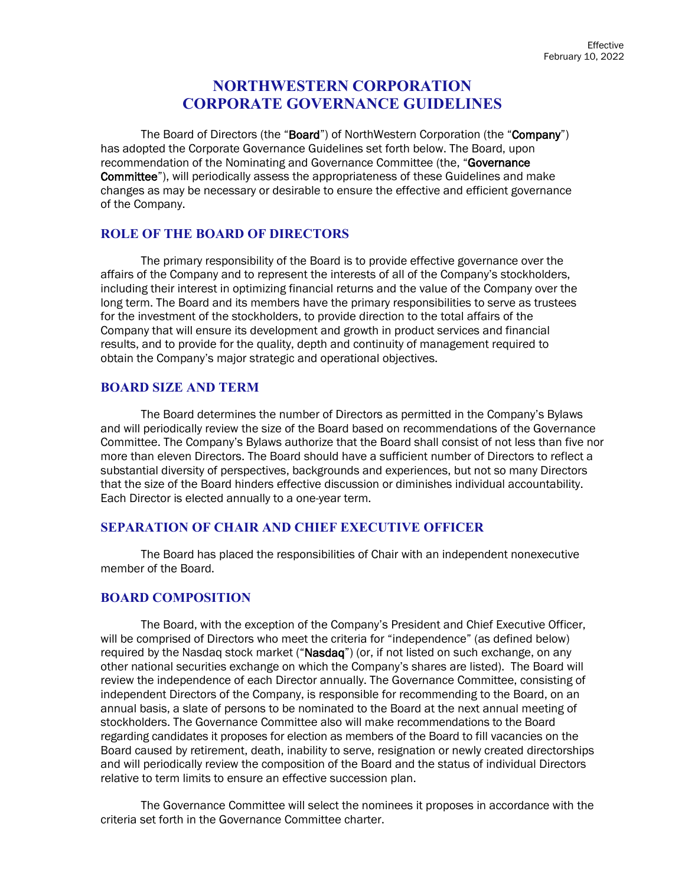# **NORTHWESTERN CORPORATION CORPORATE GOVERNANCE GUIDELINES**

The Board of Directors (the "Board") of NorthWestern Corporation (the "Company") has adopted the Corporate Governance Guidelines set forth below. The Board, upon recommendation of the Nominating and Governance Committee (the. "Governance" Committee"), will periodically assess the appropriateness of these Guidelines and make changes as may be necessary or desirable to ensure the effective and efficient governance of the Company.

# **ROLE OF THE BOARD OF DIRECTORS**

The primary responsibility of the Board is to provide effective governance over the affairs of the Company and to represent the interests of all of the Company's stockholders, including their interest in optimizing financial returns and the value of the Company over the long term. The Board and its members have the primary responsibilities to serve as trustees for the investment of the stockholders, to provide direction to the total affairs of the Company that will ensure its development and growth in product services and financial results, and to provide for the quality, depth and continuity of management required to obtain the Company's major strategic and operational objectives.

### **BOARD SIZE AND TERM**

The Board determines the number of Directors as permitted in the Company's Bylaws and will periodically review the size of the Board based on recommendations of the Governance Committee. The Company's Bylaws authorize that the Board shall consist of not less than five nor more than eleven Directors. The Board should have a sufficient number of Directors to reflect a substantial diversity of perspectives, backgrounds and experiences, but not so many Directors that the size of the Board hinders effective discussion or diminishes individual accountability. Each Director is elected annually to a one-year term.

### **SEPARATION OF CHAIR AND CHIEF EXECUTIVE OFFICER**

The Board has placed the responsibilities of Chair with an independent nonexecutive member of the Board.

### **BOARD COMPOSITION**

The Board, with the exception of the Company's President and Chief Executive Officer, will be comprised of Directors who meet the criteria for "independence" (as defined below) required by the Nasdaq stock market ("Nasdaq") (or, if not listed on such exchange, on any other national securities exchange on which the Company's shares are listed). The Board will review the independence of each Director annually. The Governance Committee, consisting of independent Directors of the Company, is responsible for recommending to the Board, on an annual basis, a slate of persons to be nominated to the Board at the next annual meeting of stockholders. The Governance Committee also will make recommendations to the Board regarding candidates it proposes for election as members of the Board to fill vacancies on the Board caused by retirement, death, inability to serve, resignation or newly created directorships and will periodically review the composition of the Board and the status of individual Directors relative to term limits to ensure an effective succession plan.

The Governance Committee will select the nominees it proposes in accordance with the criteria set forth in the Governance Committee charter.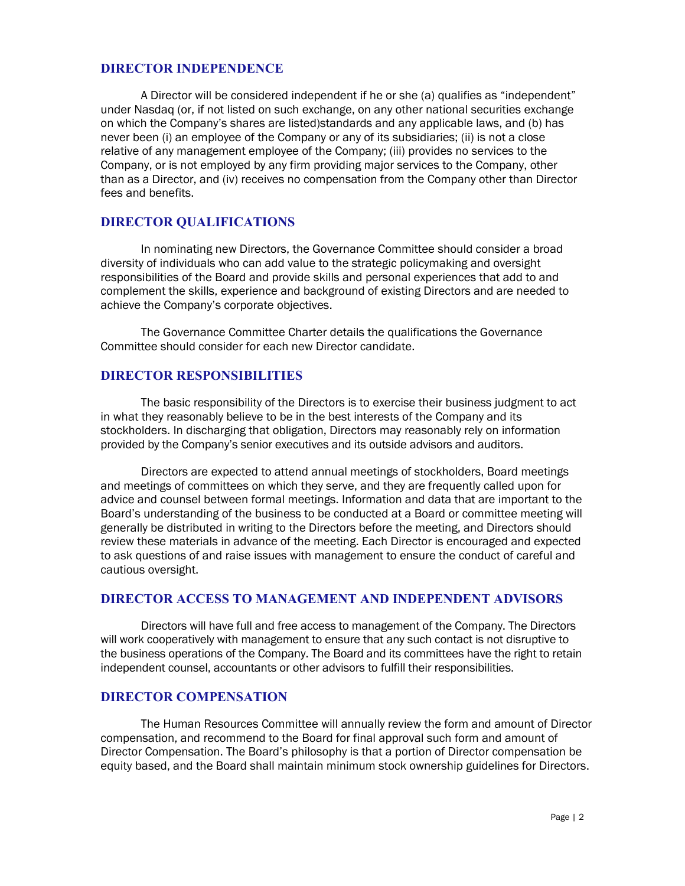### **DIRECTOR INDEPENDENCE**

A Director will be considered independent if he or she (a) qualifies as "independent" under Nasdaq (or, if not listed on such exchange, on any other national securities exchange on which the Company's shares are listed)standards and any applicable laws, and (b) has never been (i) an employee of the Company or any of its subsidiaries; (ii) is not a close relative of any management employee of the Company; (iii) provides no services to the Company, or is not employed by any firm providing major services to the Company, other than as a Director, and (iv) receives no compensation from the Company other than Director fees and benefits.

### **DIRECTOR QUALIFICATIONS**

In nominating new Directors, the Governance Committee should consider a broad diversity of individuals who can add value to the strategic policymaking and oversight responsibilities of the Board and provide skills and personal experiences that add to and complement the skills, experience and background of existing Directors and are needed to achieve the Company's corporate objectives.

The Governance Committee Charter details the qualifications the Governance Committee should consider for each new Director candidate.

### **DIRECTOR RESPONSIBILITIES**

The basic responsibility of the Directors is to exercise their business judgment to act in what they reasonably believe to be in the best interests of the Company and its stockholders. In discharging that obligation, Directors may reasonably rely on information provided by the Company's senior executives and its outside advisors and auditors.

Directors are expected to attend annual meetings of stockholders, Board meetings and meetings of committees on which they serve, and they are frequently called upon for advice and counsel between formal meetings. Information and data that are important to the Board's understanding of the business to be conducted at a Board or committee meeting will generally be distributed in writing to the Directors before the meeting, and Directors should review these materials in advance of the meeting. Each Director is encouraged and expected to ask questions of and raise issues with management to ensure the conduct of careful and cautious oversight.

### **DIRECTOR ACCESS TO MANAGEMENT AND INDEPENDENT ADVISORS**

Directors will have full and free access to management of the Company. The Directors will work cooperatively with management to ensure that any such contact is not disruptive to the business operations of the Company. The Board and its committees have the right to retain independent counsel, accountants or other advisors to fulfill their responsibilities.

### **DIRECTOR COMPENSATION**

The Human Resources Committee will annually review the form and amount of Director compensation, and recommend to the Board for final approval such form and amount of Director Compensation. The Board's philosophy is that a portion of Director compensation be equity based, and the Board shall maintain minimum stock ownership guidelines for Directors.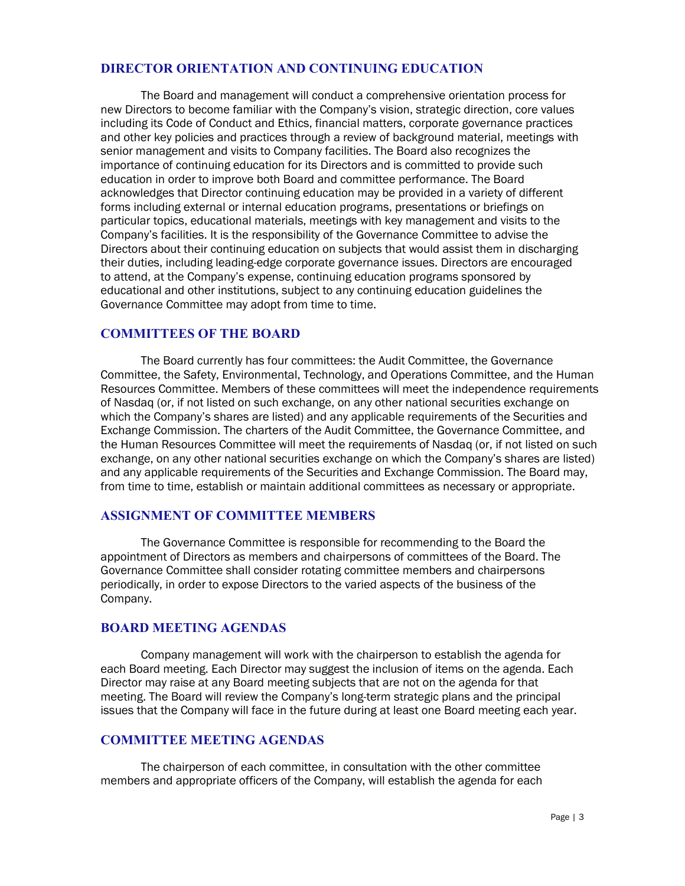### **DIRECTOR ORIENTATION AND CONTINUING EDUCATION**

The Board and management will conduct a comprehensive orientation process for new Directors to become familiar with the Company's vision, strategic direction, core values including its Code of Conduct and Ethics, financial matters, corporate governance practices and other key policies and practices through a review of background material, meetings with senior management and visits to Company facilities. The Board also recognizes the importance of continuing education for its Directors and is committed to provide such education in order to improve both Board and committee performance. The Board acknowledges that Director continuing education may be provided in a variety of different forms including external or internal education programs, presentations or briefings on particular topics, educational materials, meetings with key management and visits to the Company's facilities. It is the responsibility of the Governance Committee to advise the Directors about their continuing education on subjects that would assist them in discharging their duties, including leading-edge corporate governance issues. Directors are encouraged to attend, at the Company's expense, continuing education programs sponsored by educational and other institutions, subject to any continuing education guidelines the Governance Committee may adopt from time to time.

### **COMMITTEES OF THE BOARD**

The Board currently has four committees: the Audit Committee, the Governance Committee, the Safety, Environmental, Technology, and Operations Committee, and the Human Resources Committee. Members of these committees will meet the independence requirements of Nasdaq (or, if not listed on such exchange, on any other national securities exchange on which the Company's shares are listed) and any applicable requirements of the Securities and Exchange Commission. The charters of the Audit Committee, the Governance Committee, and the Human Resources Committee will meet the requirements of Nasdaq (or, if not listed on such exchange, on any other national securities exchange on which the Company's shares are listed) and any applicable requirements of the Securities and Exchange Commission. The Board may, from time to time, establish or maintain additional committees as necessary or appropriate.

#### **ASSIGNMENT OF COMMITTEE MEMBERS**

The Governance Committee is responsible for recommending to the Board the appointment of Directors as members and chairpersons of committees of the Board. The Governance Committee shall consider rotating committee members and chairpersons periodically, in order to expose Directors to the varied aspects of the business of the Company.

### **BOARD MEETING AGENDAS**

Company management will work with the chairperson to establish the agenda for each Board meeting. Each Director may suggest the inclusion of items on the agenda. Each Director may raise at any Board meeting subjects that are not on the agenda for that meeting. The Board will review the Company's long-term strategic plans and the principal issues that the Company will face in the future during at least one Board meeting each year.

# **COMMITTEE MEETING AGENDAS**

The chairperson of each committee, in consultation with the other committee members and appropriate officers of the Company, will establish the agenda for each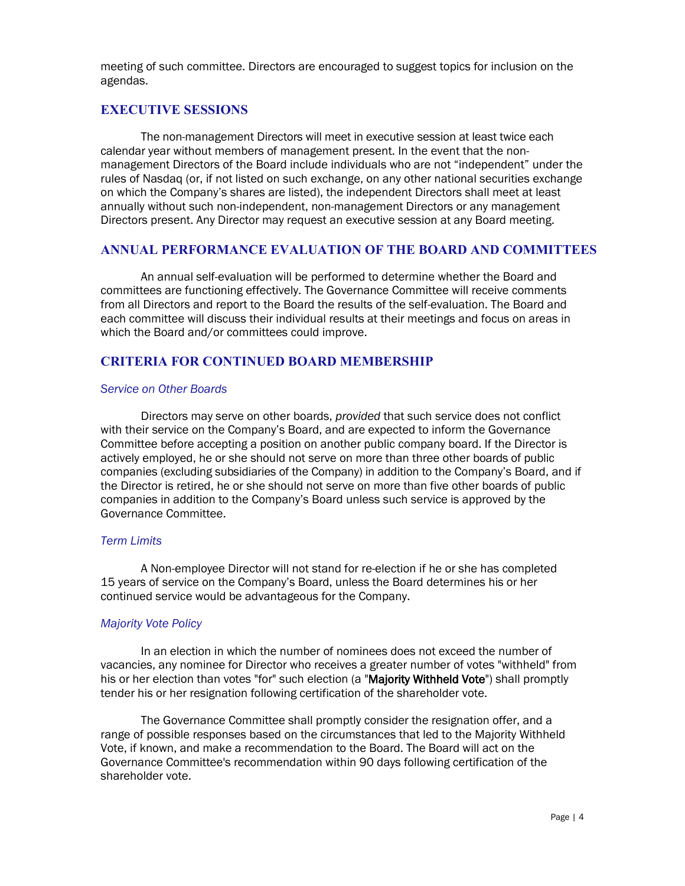meeting of such committee. Directors are encouraged to suggest topics for inclusion on the agendas.

#### **EXECUTIVE SESSIONS**

The non-management Directors will meet in executive session at least twice each calendar year without members of management present. In the event that the nonmanagement Directors of the Board include individuals who are not "independent" under the rules of Nasdaq (or, if not listed on such exchange, on any other national securities exchange on which the Company's shares are listed), the independent Directors shall meet at least annually without such non-independent, non-management Directors or any management Directors present. Any Director may request an executive session at any Board meeting.

### **ANNUAL PERFORMANCE EVALUATION OF THE BOARD AND COMMITTEES**

An annual self-evaluation will be performed to determine whether the Board and committees are functioning effectively. The Governance Committee will receive comments from all Directors and report to the Board the results of the self-evaluation. The Board and each committee will discuss their individual results at their meetings and focus on areas in which the Board and/or committees could improve.

# **CRITERIA FOR CONTINUED BOARD MEMBERSHIP**

#### *Service on Other Boards*

Directors may serve on other boards, *provided* that such service does not conflict with their service on the Company's Board, and are expected to inform the Governance Committee before accepting a position on another public company board. If the Director is actively employed, he or she should not serve on more than three other boards of public companies (excluding subsidiaries of the Company) in addition to the Company's Board, and if the Director is retired, he or she should not serve on more than five other boards of public companies in addition to the Company's Board unless such service is approved by the Governance Committee.

#### *Term Limits*

A Non-employee Director will not stand for re-election if he or she has completed 15 years of service on the Company's Board, unless the Board determines his or her continued service would be advantageous for the Company.

#### *Majority Vote Policy*

In an election in which the number of nominees does not exceed the number of vacancies, any nominee for Director who receives a greater number of votes "withheld" from his or her election than votes "for" such election (a "Majority Withheld Vote") shall promptly tender his or her resignation following certification of the shareholder vote.

The Governance Committee shall promptly consider the resignation offer, and a range of possible responses based on the circumstances that led to the Majority Withheld Vote, if known, and make a recommendation to the Board. The Board will act on the Governance Committee's recommendation within 90 days following certification of the shareholder vote.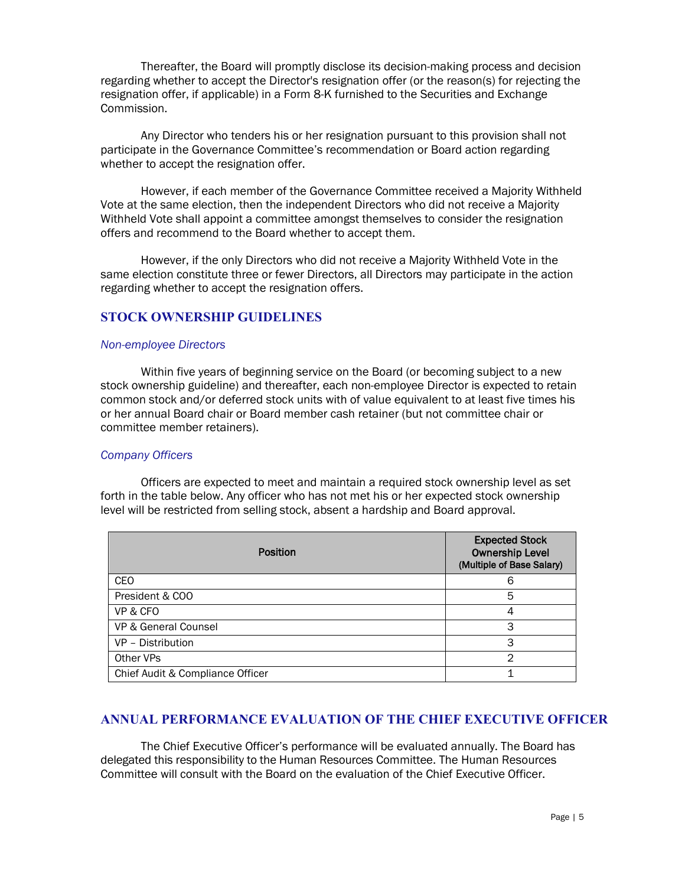Thereafter, the Board will promptly disclose its decision-making process and decision regarding whether to accept the Director's resignation offer (or the reason(s) for rejecting the resignation offer, if applicable) in a Form 8-K furnished to the Securities and Exchange Commission.

Any Director who tenders his or her resignation pursuant to this provision shall not participate in the Governance Committee's recommendation or Board action regarding whether to accept the resignation offer.

However, if each member of the Governance Committee received a Majority Withheld Vote at the same election, then the independent Directors who did not receive a Majority Withheld Vote shall appoint a committee amongst themselves to consider the resignation offers and recommend to the Board whether to accept them.

However, if the only Directors who did not receive a Majority Withheld Vote in the same election constitute three or fewer Directors, all Directors may participate in the action regarding whether to accept the resignation offers.

### **STOCK OWNERSHIP GUIDELINES**

#### *Non-employee Directors*

Within five years of beginning service on the Board (or becoming subject to a new stock ownership guideline) and thereafter, each non-employee Director is expected to retain common stock and/or deferred stock units with of value equivalent to at least five times his or her annual Board chair or Board member cash retainer (but not committee chair or committee member retainers).

#### *Company Officers*

Officers are expected to meet and maintain a required stock ownership level as set forth in the table below. Any officer who has not met his or her expected stock ownership level will be restricted from selling stock, absent a hardship and Board approval.

| <b>Position</b>                  | <b>Expected Stock</b><br><b>Ownership Level</b><br>(Multiple of Base Salary) |
|----------------------------------|------------------------------------------------------------------------------|
| <b>CEO</b>                       | 6                                                                            |
| President & COO                  | 5                                                                            |
| VP & CFO                         |                                                                              |
| VP & General Counsel             | 3                                                                            |
| VP - Distribution                | З                                                                            |
| Other VPs                        | 2                                                                            |
| Chief Audit & Compliance Officer |                                                                              |

### **ANNUAL PERFORMANCE EVALUATION OF THE CHIEF EXECUTIVE OFFICER**

The Chief Executive Officer's performance will be evaluated annually. The Board has delegated this responsibility to the Human Resources Committee. The Human Resources Committee will consult with the Board on the evaluation of the Chief Executive Officer.